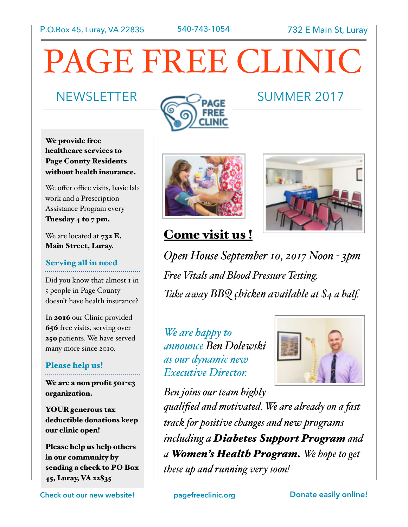# PAGE FREE CLINIC

# NEWSLETTER COMMER 2017



We provide free healthcare services to Page County Residents without health insurance.

We offer office visits, basic lab work and a Prescription Assistance Program every Tuesday 4 to 7 pm.

We are located at  $732$  E. Main Street, Luray.

# Serving all in need

Did you know that almost 1 in 5 people in Page County doesn't have health insurance?

In 2016 our Clinic provided 656 free visits, serving over 250 patients. We have served many more since 2010.

### Please help us!

We are a non profit 501-c3 organization.

YOUR generous tax deductible donations keep our clinic open!

Please help us help others in our community by sending a check to PO Box 45, Luray, VA 22835

**Check out our new website! [pagefreeclinic.org](http://pagefreeclinic.org) Donate easily online!** 





# Come visit us!

*Open House September 10, 2017 Noon - 3pm Free Vitals and Blood Pressure Testing. Take away BBQ chicken available at \$4 a half.*

*We are happy to announce Ben Dolewski as our dynamic new Executive Director.*



*Ben joins our team highly qualified and motivated. We are already on a fast track for positive changes and new programs including a Diabetes Support Program and a Women's Health Program. We hope to get these up and running very soon!*